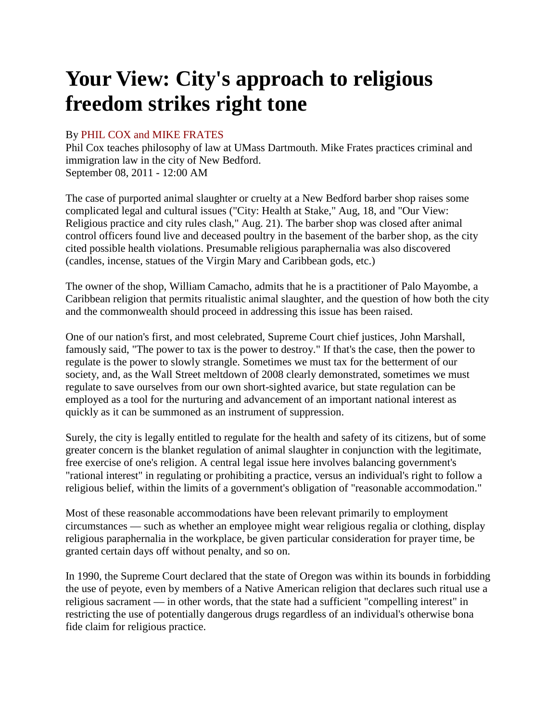## **Your View: City's approach to religious freedom strikes right tone**

## By PHIL COX and MIKE FRATES

Phil Cox teaches philosophy of law at UMass Dartmouth. Mike Frates practices criminal and immigration law in the city of New Bedford. September 08, 2011 - 12:00 AM

The case of purported animal slaughter or cruelty at a New Bedford barber shop raises some complicated legal and cultural issues ("City: Health at Stake," Aug, 18, and "Our View: Religious practice and city rules clash," Aug. 21). The barber shop was closed after animal control officers found live and deceased poultry in the basement of the barber shop, as the city cited possible health violations. Presumable religious paraphernalia was also discovered (candles, incense, statues of the Virgin Mary and Caribbean gods, etc.)

The owner of the shop, William Camacho, admits that he is a practitioner of Palo Mayombe, a Caribbean religion that permits ritualistic animal slaughter, and the question of how both the city and the commonwealth should proceed in addressing this issue has been raised.

One of our nation's first, and most celebrated, Supreme Court chief justices, John Marshall, famously said, "The power to tax is the power to destroy." If that's the case, then the power to regulate is the power to slowly strangle. Sometimes we must tax for the betterment of our society, and, as the Wall Street meltdown of 2008 clearly demonstrated, sometimes we must regulate to save ourselves from our own short-sighted avarice, but state regulation can be employed as a tool for the nurturing and advancement of an important national interest as quickly as it can be summoned as an instrument of suppression.

Surely, the city is legally entitled to regulate for the health and safety of its citizens, but of some greater concern is the blanket regulation of animal slaughter in conjunction with the legitimate, free exercise of one's religion. A central legal issue here involves balancing government's "rational interest" in regulating or prohibiting a practice, versus an individual's right to follow a religious belief, within the limits of a government's obligation of "reasonable accommodation."

Most of these reasonable accommodations have been relevant primarily to employment circumstances — such as whether an employee might wear religious regalia or clothing, display religious paraphernalia in the workplace, be given particular consideration for prayer time, be granted certain days off without penalty, and so on.

In 1990, the Supreme Court declared that the state of Oregon was within its bounds in forbidding the use of peyote, even by members of a Native American religion that declares such ritual use a religious sacrament — in other words, that the state had a sufficient "compelling interest" in restricting the use of potentially dangerous drugs regardless of an individual's otherwise bona fide claim for religious practice.